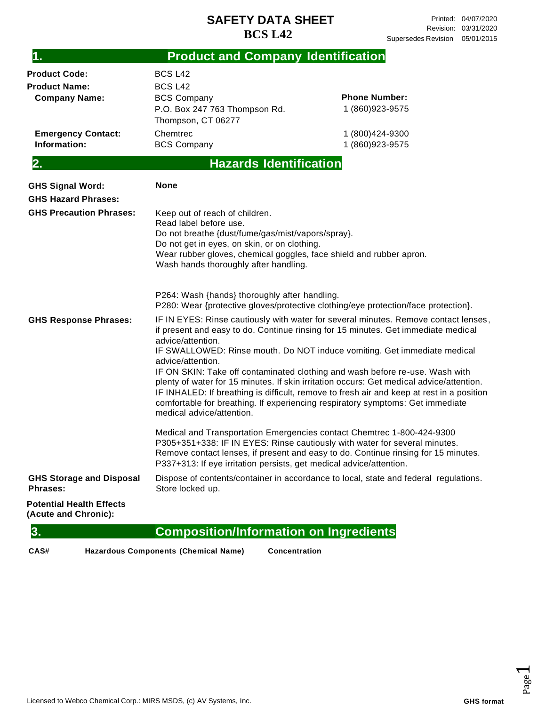### **SAFETY DATA SHEET BCS L42**

| 1.                                                      | <b>Product and Company Identification</b>                                                                                                                                                                                                                                                                                                                                                                                                                                                                                                                                                                                                                                                                                                                                    |                                                                                      |  |  |
|---------------------------------------------------------|------------------------------------------------------------------------------------------------------------------------------------------------------------------------------------------------------------------------------------------------------------------------------------------------------------------------------------------------------------------------------------------------------------------------------------------------------------------------------------------------------------------------------------------------------------------------------------------------------------------------------------------------------------------------------------------------------------------------------------------------------------------------------|--------------------------------------------------------------------------------------|--|--|
| <b>Product Code:</b><br><b>Product Name:</b>            | <b>BCS L42</b><br><b>BCS L42</b>                                                                                                                                                                                                                                                                                                                                                                                                                                                                                                                                                                                                                                                                                                                                             |                                                                                      |  |  |
| <b>Company Name:</b>                                    | <b>BCS Company</b><br>P.O. Box 247 763 Thompson Rd.<br>Thompson, CT 06277                                                                                                                                                                                                                                                                                                                                                                                                                                                                                                                                                                                                                                                                                                    | <b>Phone Number:</b><br>1 (860) 923-9575                                             |  |  |
| <b>Emergency Contact:</b><br>Information:               | Chemtrec<br><b>BCS Company</b>                                                                                                                                                                                                                                                                                                                                                                                                                                                                                                                                                                                                                                                                                                                                               | 1 (800) 424-9300<br>1 (860) 923-9575                                                 |  |  |
| 2.                                                      | <b>Hazards Identification</b>                                                                                                                                                                                                                                                                                                                                                                                                                                                                                                                                                                                                                                                                                                                                                |                                                                                      |  |  |
| <b>GHS Signal Word:</b><br><b>GHS Hazard Phrases:</b>   | <b>None</b>                                                                                                                                                                                                                                                                                                                                                                                                                                                                                                                                                                                                                                                                                                                                                                  |                                                                                      |  |  |
| <b>GHS Precaution Phrases:</b>                          | Keep out of reach of children.<br>Read label before use.<br>Do not breathe {dust/fume/gas/mist/vapors/spray}.<br>Do not get in eyes, on skin, or on clothing.<br>Wear rubber gloves, chemical goggles, face shield and rubber apron.<br>Wash hands thoroughly after handling.<br>P264: Wash {hands} thoroughly after handling.                                                                                                                                                                                                                                                                                                                                                                                                                                               |                                                                                      |  |  |
| <b>GHS Response Phrases:</b>                            | P280: Wear {protective gloves/protective clothing/eye protection/face protection}.<br>IF IN EYES: Rinse cautiously with water for several minutes. Remove contact lenses,<br>if present and easy to do. Continue rinsing for 15 minutes. Get immediate medical<br>advice/attention.<br>IF SWALLOWED: Rinse mouth. Do NOT induce vomiting. Get immediate medical<br>advice/attention.<br>IF ON SKIN: Take off contaminated clothing and wash before re-use. Wash with<br>plenty of water for 15 minutes. If skin irritation occurs: Get medical advice/attention.<br>IF INHALED: If breathing is difficult, remove to fresh air and keep at rest in a position<br>comfortable for breathing. If experiencing respiratory symptoms: Get immediate<br>medical advice/attention. |                                                                                      |  |  |
|                                                         | Medical and Transportation Emergencies contact Chemtrec 1-800-424-9300<br>P305+351+338: IF IN EYES: Rinse cautiously with water for several minutes.<br>Remove contact lenses, if present and easy to do. Continue rinsing for 15 minutes.<br>P337+313: If eye irritation persists, get medical advice/attention.                                                                                                                                                                                                                                                                                                                                                                                                                                                            |                                                                                      |  |  |
| <b>GHS Storage and Disposal</b><br><b>Phrases:</b>      | Store locked up.                                                                                                                                                                                                                                                                                                                                                                                                                                                                                                                                                                                                                                                                                                                                                             | Dispose of contents/container in accordance to local, state and federal regulations. |  |  |
| <b>Potential Health Effects</b><br>(Acute and Chronic): |                                                                                                                                                                                                                                                                                                                                                                                                                                                                                                                                                                                                                                                                                                                                                                              |                                                                                      |  |  |
| 3.                                                      | <b>Composition/Information on Ingredients</b>                                                                                                                                                                                                                                                                                                                                                                                                                                                                                                                                                                                                                                                                                                                                |                                                                                      |  |  |

**CAS# Hazardous Components (Chemical Name) Concentration**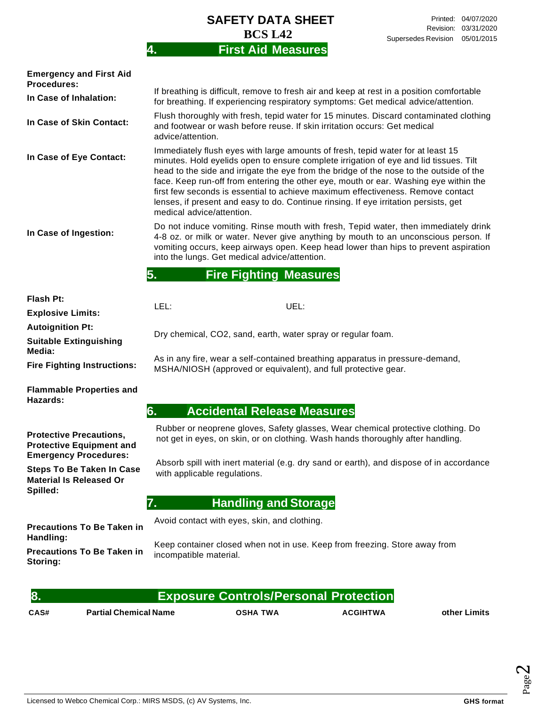| <b>SAFETY DATA SHEET</b>  |  |
|---------------------------|--|
| <b>BCS L42</b>            |  |
| <b>First Aid Measures</b> |  |

| <b>Emergency and First Aid</b><br><b>Procedures:</b>                                                           |                                                                                                                                                                                                                                                                                                                                                                                                                                                                                                                                                                     |  |  |  |  |  |
|----------------------------------------------------------------------------------------------------------------|---------------------------------------------------------------------------------------------------------------------------------------------------------------------------------------------------------------------------------------------------------------------------------------------------------------------------------------------------------------------------------------------------------------------------------------------------------------------------------------------------------------------------------------------------------------------|--|--|--|--|--|
| In Case of Inhalation:                                                                                         | If breathing is difficult, remove to fresh air and keep at rest in a position comfortable<br>for breathing. If experiencing respiratory symptoms: Get medical advice/attention.                                                                                                                                                                                                                                                                                                                                                                                     |  |  |  |  |  |
| In Case of Skin Contact:                                                                                       | Flush thoroughly with fresh, tepid water for 15 minutes. Discard contaminated clothing<br>and footwear or wash before reuse. If skin irritation occurs: Get medical<br>advice/attention.                                                                                                                                                                                                                                                                                                                                                                            |  |  |  |  |  |
| In Case of Eye Contact:                                                                                        | Immediately flush eyes with large amounts of fresh, tepid water for at least 15<br>minutes. Hold eyelids open to ensure complete irrigation of eye and lid tissues. Tilt<br>head to the side and irrigate the eye from the bridge of the nose to the outside of the<br>face. Keep run-off from entering the other eye, mouth or ear. Washing eye within the<br>first few seconds is essential to achieve maximum effectiveness. Remove contact<br>lenses, if present and easy to do. Continue rinsing. If eye irritation persists, get<br>medical advice/attention. |  |  |  |  |  |
| In Case of Ingestion:                                                                                          | Do not induce vomiting. Rinse mouth with fresh, Tepid water, then immediately drink<br>4-8 oz. or milk or water. Never give anything by mouth to an unconscious person. If<br>vomiting occurs, keep airways open. Keep head lower than hips to prevent aspiration<br>into the lungs. Get medical advice/attention.                                                                                                                                                                                                                                                  |  |  |  |  |  |
|                                                                                                                | 5.<br><b>Fire Fighting Measures</b>                                                                                                                                                                                                                                                                                                                                                                                                                                                                                                                                 |  |  |  |  |  |
| Flash Pt:                                                                                                      |                                                                                                                                                                                                                                                                                                                                                                                                                                                                                                                                                                     |  |  |  |  |  |
| <b>Explosive Limits:</b>                                                                                       | LEL:<br>UEL:                                                                                                                                                                                                                                                                                                                                                                                                                                                                                                                                                        |  |  |  |  |  |
| <b>Autoignition Pt:</b>                                                                                        |                                                                                                                                                                                                                                                                                                                                                                                                                                                                                                                                                                     |  |  |  |  |  |
| <b>Suitable Extinguishing</b><br>Media:                                                                        | Dry chemical, CO2, sand, earth, water spray or regular foam.                                                                                                                                                                                                                                                                                                                                                                                                                                                                                                        |  |  |  |  |  |
| <b>Fire Fighting Instructions:</b>                                                                             | As in any fire, wear a self-contained breathing apparatus in pressure-demand,<br>MSHA/NIOSH (approved or equivalent), and full protective gear.                                                                                                                                                                                                                                                                                                                                                                                                                     |  |  |  |  |  |
| <b>Flammable Properties and</b><br>Hazards:                                                                    |                                                                                                                                                                                                                                                                                                                                                                                                                                                                                                                                                                     |  |  |  |  |  |
|                                                                                                                | 6.<br><b>Accidental Release Measures</b>                                                                                                                                                                                                                                                                                                                                                                                                                                                                                                                            |  |  |  |  |  |
| <b>Protective Precautions,</b><br><b>Protective Equipment and</b>                                              | Rubber or neoprene gloves, Safety glasses, Wear chemical protective clothing. Do<br>not get in eyes, on skin, or on clothing. Wash hands thoroughly after handling.                                                                                                                                                                                                                                                                                                                                                                                                 |  |  |  |  |  |
| <b>Emergency Procedures:</b><br><b>Steps To Be Taken In Case</b><br><b>Material Is Released Or</b><br>Spilled: | Absorb spill with inert material (e.g. dry sand or earth), and dispose of in accordance<br>with applicable regulations.                                                                                                                                                                                                                                                                                                                                                                                                                                             |  |  |  |  |  |
|                                                                                                                | <b>Handling and Storage</b><br>7.                                                                                                                                                                                                                                                                                                                                                                                                                                                                                                                                   |  |  |  |  |  |
|                                                                                                                | Avoid contact with eyes, skin, and clothing.                                                                                                                                                                                                                                                                                                                                                                                                                                                                                                                        |  |  |  |  |  |
| <b>Precautions To Be Taken in</b><br>Handling:                                                                 |                                                                                                                                                                                                                                                                                                                                                                                                                                                                                                                                                                     |  |  |  |  |  |
| <b>Precautions To Be Taken in</b><br>Storing:                                                                  | Keep container closed when not in use. Keep from freezing. Store away from<br>incompatible material.                                                                                                                                                                                                                                                                                                                                                                                                                                                                |  |  |  |  |  |
|                                                                                                                |                                                                                                                                                                                                                                                                                                                                                                                                                                                                                                                                                                     |  |  |  |  |  |
| 8.                                                                                                             | <b>Exposure Controls/Personal Protection</b>                                                                                                                                                                                                                                                                                                                                                                                                                                                                                                                        |  |  |  |  |  |

**CAS# Partial Chemical Name OSHA TWA ACGIHTWA other Limits**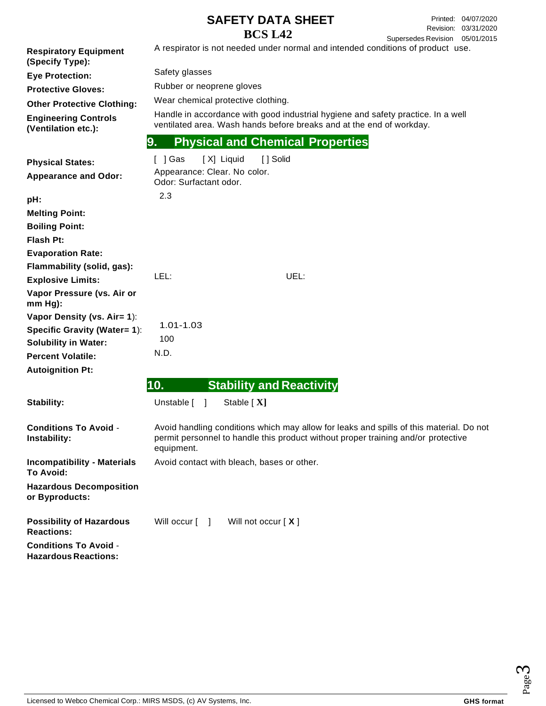#### **SAFETY DATA SHEET BCS L42**

04/07/2020 Printed: 03/31/2020 Revision: Supersedes Revision 05/01/2015

**Respiratory Equipment (Specify Type): Eye Protection: Protective Gloves: Other Protective Clothing: Engineering Controls (Ventilation etc.): Physical States: Appearance and Odor: pH: Melting Point: Boiling Point: Flash Pt: Evaporation Rate: Flammability (solid, gas): Explosive Limits: Vapor Pressure (vs. Air or mm Hg): Vapor Density (vs. Air= 1**): **Specific Gravity (Water= 1**): **Solubility in Water: Percent Volatile: Autoignition Pt:** A respirator is not needed under normal and intended conditions of product use. Safety glasses Rubber or neoprene gloves Wear chemical protective clothing. Handle in accordance with good industrial hygiene and safety practice. In a well ventilated area. Wash hands before breaks and at the end of workday. **9. Physical and Chemical Properties** [ ] Gas [ X] Liquid [ ] Solid Appearance: Clear. No color. Odor: Surfactant odor. 2.3 LEL: UEL: 1.01-1.03 100 N.D. **10. Stability and Reactivity** Stability: Unstable [ ] Stable [ **X**] **Conditions To Avoid** - **Instability: Incompatibility - Materials To Avoid: Hazardous Decomposition or Byproducts:** Avoid handling conditions which may allow for leaks and spills of this material. Do not permit personnel to handle this product without proper training and/or protective equipment. Avoid contact with bleach, bases or other. **Possibility of Hazardous Reactions: Conditions To Avoid** - **Hazardous Reactions:** Will occur [ ] Will not occur [ **X** ]